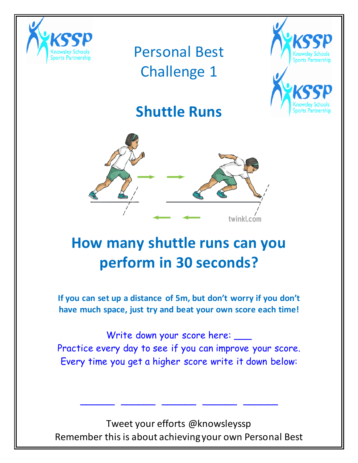



#### **Shuttle Runs**



# **How many shuttle runs can you perform in 30 seconds?**

**If you can set up a distance of 5m, but don't worry if you don't have much space, just try and beat your own score each time!**

Write down your score here: \_\_\_ Practice every day to see if you can improve your score. Every time you get a higher score write it down below:

Tweet your efforts @knowsleyssp Remember this is about achieving your own Personal Best

\_\_\_\_\_\_ \_\_\_\_\_\_ \_\_\_\_\_\_ \_\_\_\_\_\_ \_\_\_\_\_\_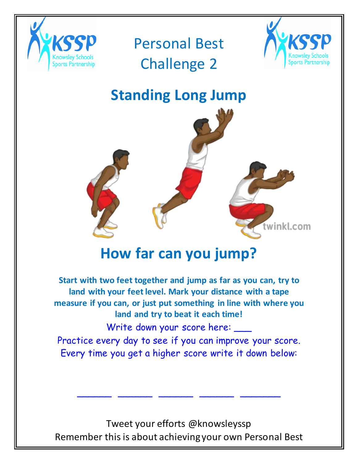



## **Standing Long Jump**



#### **How far can you jump?**

**Start with two feet together and jump as far as you can, try to land with your feet level. Mark your distance with a tape measure if you can, or just put something in line with where you land and try to beat it each time!** Write down your score here: \_\_\_

Practice every day to see if you can improve your score. Every time you get a higher score write it down below:

Tweet your efforts @knowsleyssp Remember this is about achieving your own Personal Best

\_\_\_\_\_\_ \_\_\_\_\_\_ \_\_\_\_\_\_ \_\_\_\_\_\_ \_\_\_\_\_\_\_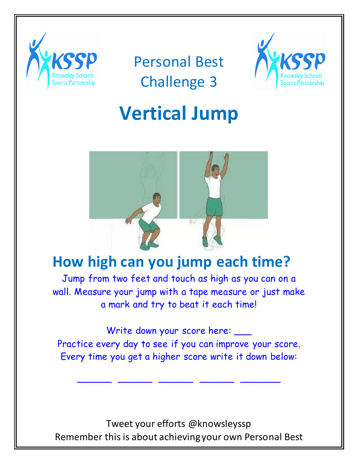



# **Vertical Jump**



#### **How high can you jump each time?**

Jump from two feet and touch as high as you can on a wall. Measure your jump with a tape measure or just make a mark and try to beat it each time!

Write down your score here: \_\_\_ Practice every day to see if you can improve your score. Every time you get a higher score write it down below:

\_\_\_\_\_\_ \_\_\_\_\_\_ \_\_\_\_\_\_ \_\_\_\_\_\_ \_\_\_\_\_\_\_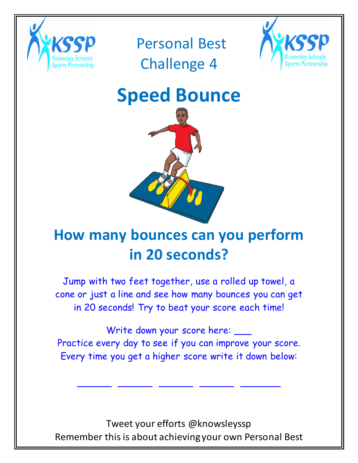



# **Speed Bounce**



# **How many bounces can you perform in 20 seconds?**

Jump with two feet together, use a rolled up towel, a cone or just a line and see how many bounces you can get in 20 seconds! Try to beat your score each time!

Write down your score here: \_\_\_ Practice every day to see if you can improve your score. Every time you get a higher score write it down below:

\_\_\_\_\_\_ \_\_\_\_\_\_ \_\_\_\_\_\_ \_\_\_\_\_\_ \_\_\_\_\_\_\_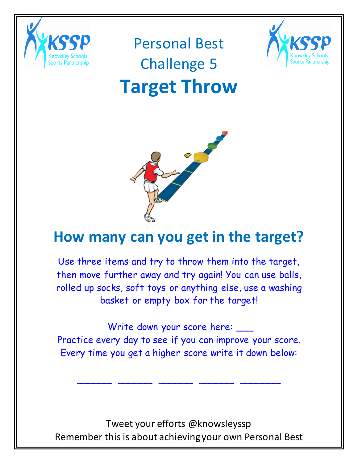

Personal Best

## Challenge 5



# **Target Throw**



#### **How many can you get in the target?**

Use three items and try to throw them into the target, then move further away and try again! You can use balls, rolled up socks, soft toys or anything else, use a washing basket or empty box for the target!

Write down your score here: \_\_\_ Practice every day to see if you can improve your score. Every time you get a higher score write it down below:

\_\_\_\_\_\_ \_\_\_\_\_\_ \_\_\_\_\_\_ \_\_\_\_\_\_ \_\_\_\_\_\_\_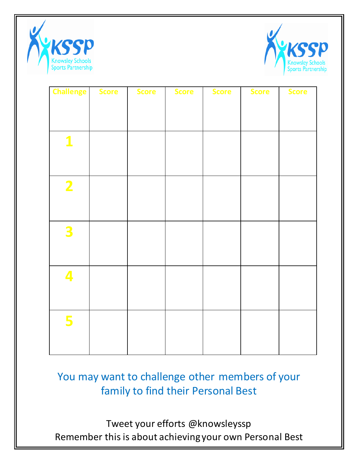



| <b>Challenge</b>        | <b>Score</b> | <b>Score</b> | <b>Score</b> | <b>Score</b> | <b>Score</b> | <b>Score</b> |
|-------------------------|--------------|--------------|--------------|--------------|--------------|--------------|
|                         |              |              |              |              |              |              |
|                         |              |              |              |              |              |              |
|                         |              |              |              |              |              |              |
| $\mathbf{1}$            |              |              |              |              |              |              |
|                         |              |              |              |              |              |              |
|                         |              |              |              |              |              |              |
| $\overline{\mathbf{2}}$ |              |              |              |              |              |              |
|                         |              |              |              |              |              |              |
|                         |              |              |              |              |              |              |
| 3                       |              |              |              |              |              |              |
|                         |              |              |              |              |              |              |
|                         |              |              |              |              |              |              |
| 4                       |              |              |              |              |              |              |
|                         |              |              |              |              |              |              |
|                         |              |              |              |              |              |              |
|                         |              |              |              |              |              |              |
| 5                       |              |              |              |              |              |              |
|                         |              |              |              |              |              |              |
|                         |              |              |              |              |              |              |

#### You may want to challenge other members of your family to find their Personal Best